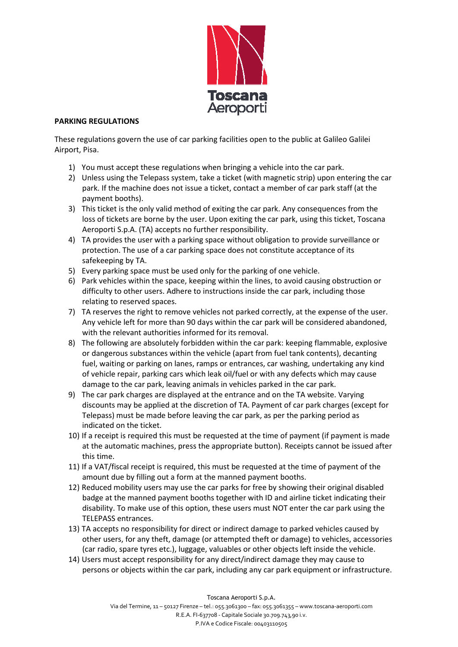

## **PARKING REGULATIONS**

These regulations govern the use of car parking facilities open to the public at Galileo Galilei Airport, Pisa.

- 1) You must accept these regulations when bringing a vehicle into the car park.
- 2) Unless using the Telepass system, take a ticket (with magnetic strip) upon entering the car park. If the machine does not issue a ticket, contact a member of car park staff (at the payment booths).
- 3) This ticket is the only valid method of exiting the car park. Any consequences from the loss of tickets are borne by the user. Upon exiting the car park, using this ticket, Toscana Aeroporti S.p.A. (TA) accepts no further responsibility.
- 4) TA provides the user with a parking space without obligation to provide surveillance or protection. The use of a car parking space does not constitute acceptance of its safekeeping by TA.
- 5) Every parking space must be used only for the parking of one vehicle.
- 6) Park vehicles within the space, keeping within the lines, to avoid causing obstruction or difficulty to other users. Adhere to instructions inside the car park, including those relating to reserved spaces.
- 7) TA reserves the right to remove vehicles not parked correctly, at the expense of the user. Any vehicle left for more than 90 days within the car park will be considered abandoned, with the relevant authorities informed for its removal.
- 8) The following are absolutely forbidden within the car park: keeping flammable, explosive or dangerous substances within the vehicle (apart from fuel tank contents), decanting fuel, waiting or parking on lanes, ramps or entrances, car washing, undertaking any kind of vehicle repair, parking cars which leak oil/fuel or with any defects which may cause damage to the car park, leaving animals in vehicles parked in the car park.
- 9) The car park charges are displayed at the entrance and on the TA website. Varying discounts may be applied at the discretion of TA. Payment of car park charges (except for Telepass) must be made before leaving the car park, as per the parking period as indicated on the ticket.
- 10) If a receipt is required this must be requested at the time of payment (if payment is made at the automatic machines, press the appropriate button). Receipts cannot be issued after this time.
- 11) If a VAT/fiscal receipt is required, this must be requested at the time of payment of the amount due by filling out a form at the manned payment booths.
- 12) Reduced mobility users may use the car parks for free by showing their original disabled badge at the manned payment booths together with ID and airline ticket indicating their disability. To make use of this option, these users must NOT enter the car park using the TELEPASS entrances.
- 13) TA accepts no responsibility for direct or indirect damage to parked vehicles caused by other users, for any theft, damage (or attempted theft or damage) to vehicles, accessories (car radio, spare tyres etc.), luggage, valuables or other objects left inside the vehicle.
- 14) Users must accept responsibility for any direct/indirect damage they may cause to persons or objects within the car park, including any car park equipment or infrastructure.

Toscana Aeroporti S.p.A.

 R.E.A. FI-637708 - Capitale Sociale 30.709.743,90 i.v. Via del Termine, 11 – 50127 Firenze – tel.: 055.3061300 – fax: 055.3061355 – www.toscana-aeroporti.com P.IVA e Codice Fiscale: 00403110505